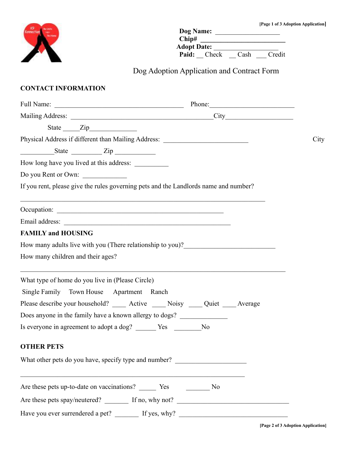

| Dog Name:          |       |      |        |
|--------------------|-------|------|--------|
| Chip#              |       |      |        |
| <b>Adopt Date:</b> |       |      |        |
| Paid:              | Check | Cash | Credit |

Dog Adoption Application and Contract Form

## **CONTACT INFORMATION**

|                                                                                      | Mailing Address: City City                                                       |      |
|--------------------------------------------------------------------------------------|----------------------------------------------------------------------------------|------|
| State <u>Zip</u>                                                                     |                                                                                  |      |
| Physical Address if different than Mailing Address: ____________________________     |                                                                                  | City |
| $S$ tate $\frac{Zip}{\sqrt{2\pi}}$                                                   |                                                                                  |      |
| How long have you lived at this address: ___________                                 |                                                                                  |      |
| Do you Rent or Own:                                                                  |                                                                                  |      |
| If you rent, please give the rules governing pets and the Landlords name and number? |                                                                                  |      |
|                                                                                      |                                                                                  |      |
|                                                                                      |                                                                                  |      |
| <b>FAMILY and HOUSING</b>                                                            |                                                                                  |      |
| How many adults live with you (There relationship to you)?______________________     |                                                                                  |      |
| How many children and their ages?                                                    |                                                                                  |      |
| What type of home do you live in (Please Circle)                                     |                                                                                  |      |
| Single Family Town House Apartment Ranch                                             |                                                                                  |      |
| Please describe your household? _____ Active _____ Noisy ____ Quiet ____ Average     |                                                                                  |      |
| Does anyone in the family have a known allergy to dogs?                              |                                                                                  |      |
| Is everyone in agreement to adopt a dog? Nes No                                      |                                                                                  |      |
| <b>OTHER PETS</b>                                                                    |                                                                                  |      |
| What other pets do you have, specify type and number? __________________________     |                                                                                  |      |
| <u> 1980 - John Stein, Amerikaansk politiker (</u>                                   |                                                                                  |      |
|                                                                                      |                                                                                  |      |
|                                                                                      | Have you ever surrendered a pet? _______ If yes, why? __________________________ |      |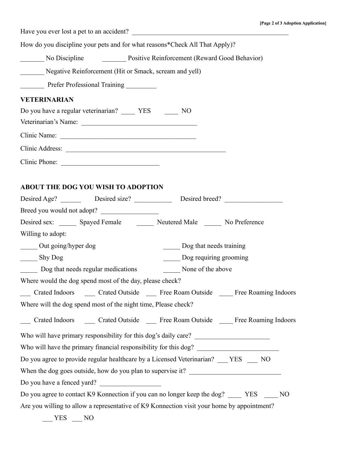Have you ever lost a pet to an accident?

How do you discipline your pets and for what reasons\*Check All That Apply)?

\_\_\_\_\_\_\_ No Discipline \_\_\_\_\_\_\_ Positive Reinforcement (Reward Good Behavior)

\_\_\_\_\_\_\_ Negative Reinforcement (Hit or Smack, scream and yell)

\_\_\_\_\_\_\_ Prefer Professional Training \_\_\_\_\_\_\_\_\_

### **VETERINARIAN**

| Do you have a regular veterinarian? | <b>YES</b> | NО |  |
|-------------------------------------|------------|----|--|
| Veterinarian's Name:                |            |    |  |
| Clinic Name:                        |            |    |  |
| Clinic Address:                     |            |    |  |
|                                     |            |    |  |

# Clinic Phone:

## **ABOUT THE DOG YOU WISH TO ADOPTION**

|                     |                                                                | Desired Age? Desired size? Desired breed?                                                            |
|---------------------|----------------------------------------------------------------|------------------------------------------------------------------------------------------------------|
|                     | Breed you would not adopt?                                     |                                                                                                      |
|                     |                                                                | Desired sex: _______ Spayed Female ________ Neutered Male ______ No Preference                       |
| Willing to adopt:   |                                                                |                                                                                                      |
| Out going/hyper dog |                                                                | Dog that needs training                                                                              |
| ______ Shy Dog      |                                                                | Dog requiring grooming                                                                               |
|                     | Dog that needs regular medications Mone of the above           |                                                                                                      |
|                     | Where would the dog spend most of the day, please check?       |                                                                                                      |
|                     |                                                                | ___ Crated Indoors _____ Crated Outside ____ Free Roam Outside ____ Free Roaming Indoors             |
|                     | Where will the dog spend most of the night time, Please check? |                                                                                                      |
|                     |                                                                | Crated Indoors ______ Crated Outside ______ Free Roam Outside ______ Free Roaming Indoors            |
|                     |                                                                |                                                                                                      |
|                     |                                                                |                                                                                                      |
|                     |                                                                | Do you agree to provide regular healthcare by a Licensed Veterinarian? __ YES __ NO                  |
|                     |                                                                | When the dog goes outside, how do you plan to supervise it? _____________________                    |
|                     | Do you have a fenced yard?                                     |                                                                                                      |
|                     |                                                                | Do you agree to contact K9 Konnection if you can no longer keep the dog? _____ YES<br>N <sub>O</sub> |
|                     |                                                                | Are you willing to allow a representative of K9 Konnection visit your home by appointment?           |
|                     | $VFC$ $NO$                                                     |                                                                                                      |